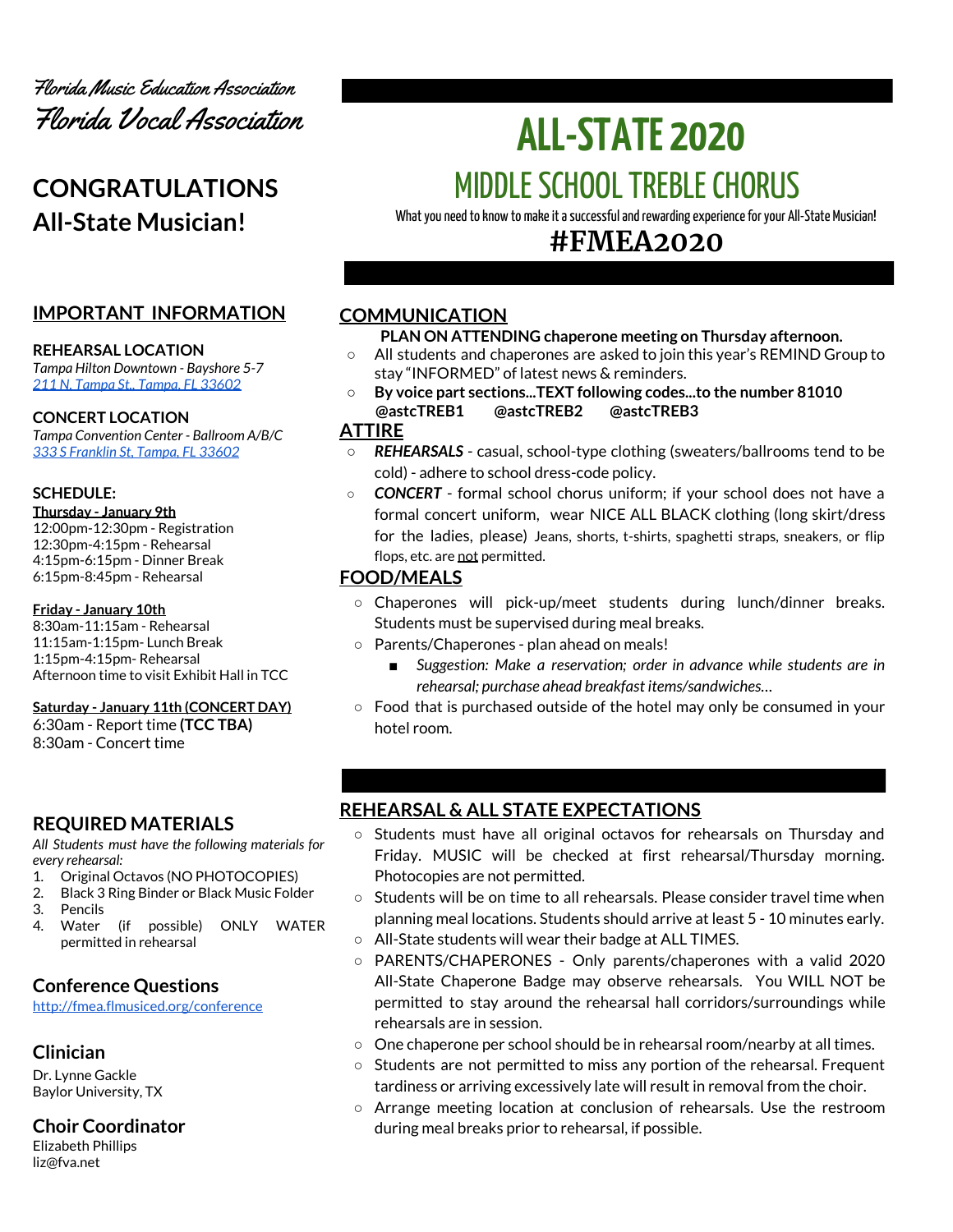

# **CONGRATULATIONS All-State Musician!**

## **IMPORTANT INFORMATION**

#### **REHEARSAL LOCATION**

*Tampa Hilton Downtown - Bayshore 5-7 211 N. Tampa St., [Tampa,](https://www3.hilton.com/en/hotels/florida/hilton-tampa-downtown-TPANTHF/maps-directions/index.html) FL 33602*

#### **CONCERT LOCATION**

*Tampa Convention Center - Ballroom A/B/C 333 S [Franklin](https://www.tampagov.net/tcc/location2) St, Tampa, FL 33602*

#### **SCHEDULE:**

#### **Thursday - January 9th**

12:00pm-12:30pm - Registration 12:30pm-4:15pm - Rehearsal 4:15pm-6:15pm - Dinner Break 6:15pm-8:45pm - Rehearsal

#### **Friday - January 10th**

8:30am-11:15am - Rehearsal 11:15am-1:15pm- Lunch Break 1:15pm-4:15pm- Rehearsal Afternoon time to visit Exhibit Hall in TCC

#### **Saturday - January 11th (CONCERT DAY)**

6:30am - Report time **(TCC TBA)** 8:30am - Concert time

## **REQUIRED MATERIALS**

*All Students must have the following materials for every rehearsal:*

- 1. Original Octavos (NO PHOTOCOPIES)
- 2. Black 3 Ring Binder or Black Music Folder
- 3. Pencils
- 4. Water (if possible) ONLY WATER permitted in rehearsal

## **Conference Questions**

<http://fmea.flmusiced.org/conference>

## **Clinician**

Dr. Lynne Gackle Baylor University, TX

## **Choir Coordinator**

Elizabeth Phillips liz@fva.net

# **ALL-STATE 2020** MIDDLE SCHOOL TREBLE CHORUS

What you need to know to make it a successful and rewarding experience for your All-State Musician!

## **#FMEA2020**

## **COMMUNICATION**

## **PLAN ON ATTENDING chaperone meeting on Thursday afternoon.**

- **○** All students and chaperones are asked to join this year's REMIND Group to stay "INFORMED" of latest news & reminders.
- **○ By voice part sections...TEXT following codes...to the number 81010 @astcTREB1 @astcTREB2 @astcTREB3**

## **ATTIRE**

- *REHEARSALS* casual, school-type clothing (sweaters/ballrooms tend to be cold) - adhere to school dress-code policy.
- *CONCERT* formal school chorus uniform; if your school does not have a formal concert uniform, wear NICE ALL BLACK clothing (long skirt/dress for the ladies, please) Jeans, shorts, t-shirts, spaghetti straps, sneakers, or flip flops, etc. are not permitted.

## **FOOD/MEALS**

- Chaperones will pick-up/meet students during lunch/dinner breaks. Students must be supervised during meal breaks.
- Parents/Chaperones plan ahead on meals!
	- *Suggestion:* Make *a reservation; order in advance while students are in rehearsal; purchase ahead breakfast items/sandwiches…*
- Food that is purchased outside of the hotel may only be consumed in your hotel room.

## **REHEARSAL & ALL STATE EXPECTATIONS**

- Students must have all original octavos for rehearsals on Thursday and Friday. MUSIC will be checked at first rehearsal/Thursday morning. Photocopies are not permitted.
- Students will be on time to all rehearsals. Please consider travel time when planning meal locations. Students should arrive at least 5 - 10 minutes early. ○ All-State students will wear their badge at ALL TIMES.
- PARENTS/CHAPERONES Only parents/chaperones with a valid 2020 All-State Chaperone Badge may observe rehearsals. You WILL NOT be permitted to stay around the rehearsal hall corridors/surroundings while rehearsals are in session.
- One chaperone per school should be in rehearsal room/nearby at all times.
- Students are not permitted to miss any portion of the rehearsal. Frequent tardiness or arriving excessively late will result in removal from the choir.
- Arrange meeting location at conclusion of rehearsals. Use the restroom during meal breaks prior to rehearsal, if possible.